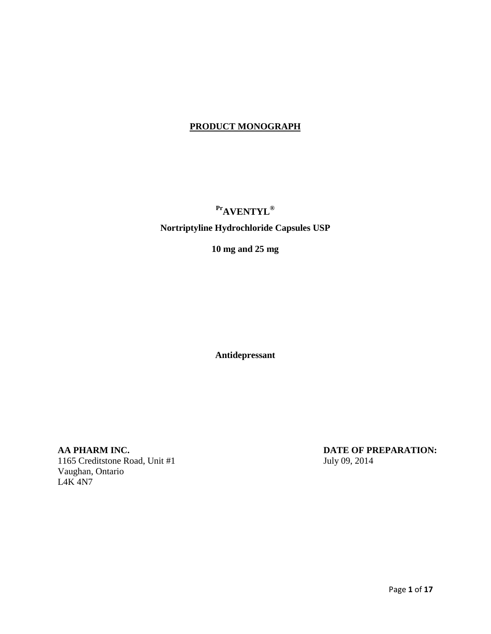# **PRODUCT MONOGRAPH**

# **PrAVENTYL®**

# **Nortriptyline Hydrochloride Capsules USP**

**10 mg and 25 mg**

**Antidepressant**

**AA PHARM INC.**<br>1165 Creditstone Road, Unit #1 July 09, 2014 1165 Creditstone Road, Unit  $#1$ Vaughan, Ontario L4K 4N7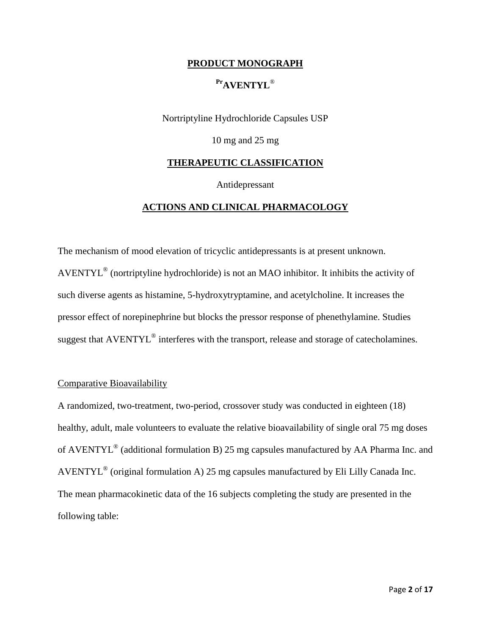#### **PRODUCT MONOGRAPH**

### **PrAVENTYL**®

Nortriptyline Hydrochloride Capsules USP

10 mg and 25 mg

#### **THERAPEUTIC CLASSIFICATION**

Antidepressant

### **ACTIONS AND CLINICAL PHARMACOLOGY**

The mechanism of mood elevation of tricyclic antidepressants is at present unknown. AVENTYL® (nortriptyline hydrochloride) is not an MAO inhibitor. It inhibits the activity of such diverse agents as histamine, 5-hydroxytryptamine, and acetylcholine. It increases the pressor effect of norepinephrine but blocks the pressor response of phenethylamine. Studies suggest that AVENTYL<sup>®</sup> interferes with the transport, release and storage of catecholamines.

#### Comparative Bioavailability

A randomized, two-treatment, two-period, crossover study was conducted in eighteen (18) healthy, adult, male volunteers to evaluate the relative bioavailability of single oral 75 mg doses of AVENTYL® (additional formulation B) 25 mg capsules manufactured by AA Pharma Inc. and AVENTYL® (original formulation A) 25 mg capsules manufactured by Eli Lilly Canada Inc. The mean pharmacokinetic data of the 16 subjects completing the study are presented in the following table: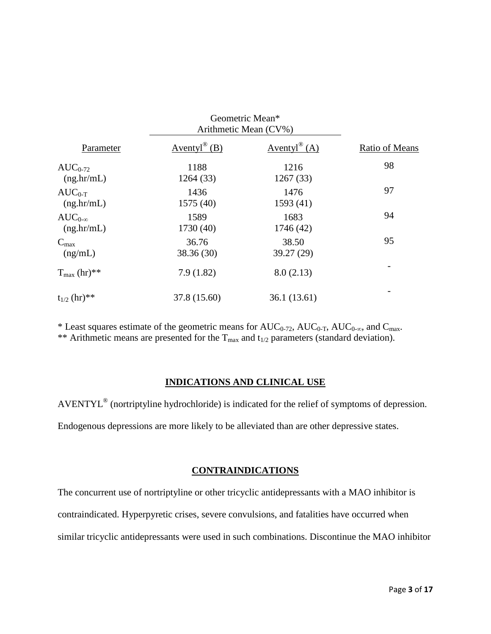|                         | Geometric Mean*<br>Arithmetic Mean (CV%) |                |                       |
|-------------------------|------------------------------------------|----------------|-----------------------|
| Parameter               | $Aventyl^{\circledR}$ (B)                | Aventyl® $(A)$ | <b>Ratio of Means</b> |
| $AUC_{0-72}$            | 1188                                     | 1216           | 98                    |
| (ng,hr/mL)              | 1264 (33)                                | 1267(33)       |                       |
| $AUC_{0-T}$             | 1436                                     | 1476           | 97                    |
| (ng,hr/mL)              | 1575 (40)                                | 1593(41)       |                       |
| $AUC_{0-\infty}$        | 1589                                     | 1683           | 94                    |
| (ng,hr/mL)              | 1730 (40)                                | 1746 (42)      |                       |
| $C_{\text{max}}$        | 36.76                                    | 38.50          | 95                    |
| (ng/mL)                 | 38.36 (30)                               | 39.27 (29)     |                       |
| $T_{\text{max}}$ (hr)** | 7.9(1.82)                                | 8.0(2.13)      |                       |
| $t_{1/2}$ (hr)**        | 37.8 (15.60)                             | 36.1 (13.61)   |                       |

\* Least squares estimate of the geometric means for  $AUC_{0-72}$ ,  $AUC_{0-T}$ ,  $AUC_{0-\infty}$ , and  $C_{\max}$ . \*\* Arithmetic means are presented for the  $T_{\text{max}}$  and  $t_{1/2}$  parameters (standard deviation).

### **INDICATIONS AND CLINICAL USE**

AVENTYL® (nortriptyline hydrochloride) is indicated for the relief of symptoms of depression. Endogenous depressions are more likely to be alleviated than are other depressive states.

### **CONTRAINDICATIONS**

The concurrent use of nortriptyline or other tricyclic antidepressants with a MAO inhibitor is contraindicated. Hyperpyretic crises, severe convulsions, and fatalities have occurred when similar tricyclic antidepressants were used in such combinations. Discontinue the MAO inhibitor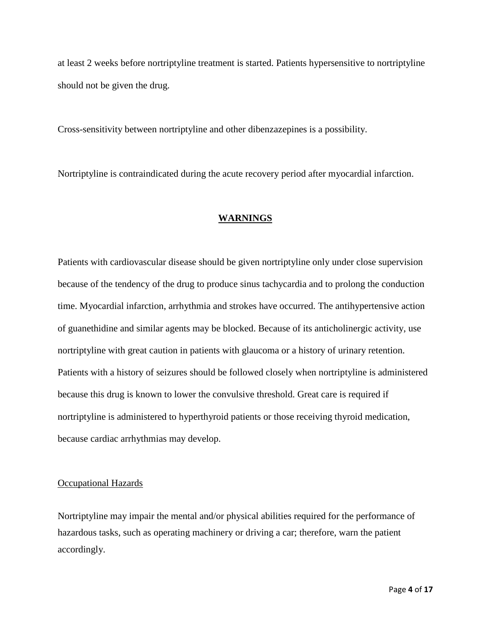at least 2 weeks before nortriptyline treatment is started. Patients hypersensitive to nortriptyline should not be given the drug.

Cross-sensitivity between nortriptyline and other dibenzazepines is a possibility.

Nortriptyline is contraindicated during the acute recovery period after myocardial infarction.

### **WARNINGS**

Patients with cardiovascular disease should be given nortriptyline only under close supervision because of the tendency of the drug to produce sinus tachycardia and to prolong the conduction time. Myocardial infarction, arrhythmia and strokes have occurred. The antihypertensive action of guanethidine and similar agents may be blocked. Because of its anticholinergic activity, use nortriptyline with great caution in patients with glaucoma or a history of urinary retention. Patients with a history of seizures should be followed closely when nortriptyline is administered because this drug is known to lower the convulsive threshold. Great care is required if nortriptyline is administered to hyperthyroid patients or those receiving thyroid medication, because cardiac arrhythmias may develop.

#### Occupational Hazards

Nortriptyline may impair the mental and/or physical abilities required for the performance of hazardous tasks, such as operating machinery or driving a car; therefore, warn the patient accordingly.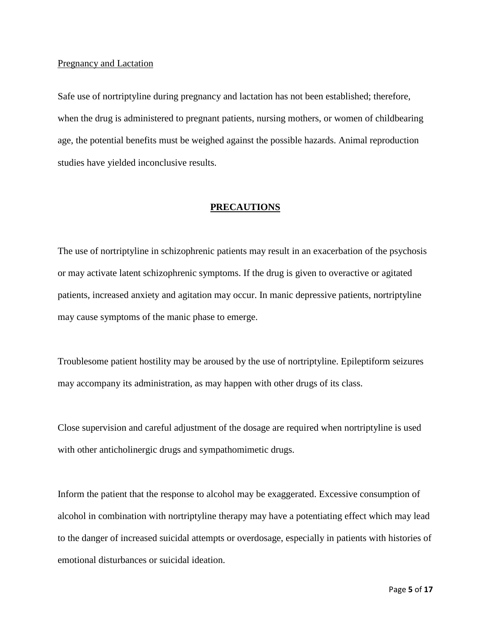#### Pregnancy and Lactation

Safe use of nortriptyline during pregnancy and lactation has not been established; therefore, when the drug is administered to pregnant patients, nursing mothers, or women of childbearing age, the potential benefits must be weighed against the possible hazards. Animal reproduction studies have yielded inconclusive results.

#### **PRECAUTIONS**

The use of nortriptyline in schizophrenic patients may result in an exacerbation of the psychosis or may activate latent schizophrenic symptoms. If the drug is given to overactive or agitated patients, increased anxiety and agitation may occur. In manic depressive patients, nortriptyline may cause symptoms of the manic phase to emerge.

Troublesome patient hostility may be aroused by the use of nortriptyline. Epileptiform seizures may accompany its administration, as may happen with other drugs of its class.

Close supervision and careful adjustment of the dosage are required when nortriptyline is used with other anticholinergic drugs and sympathomimetic drugs.

Inform the patient that the response to alcohol may be exaggerated. Excessive consumption of alcohol in combination with nortriptyline therapy may have a potentiating effect which may lead to the danger of increased suicidal attempts or overdosage, especially in patients with histories of emotional disturbances or suicidal ideation.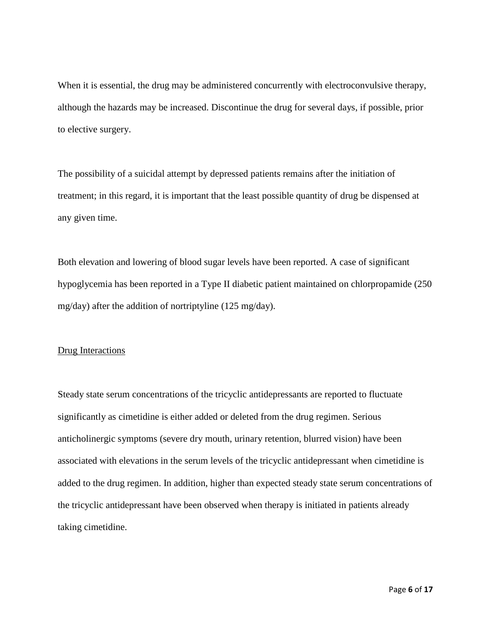When it is essential, the drug may be administered concurrently with electroconvulsive therapy, although the hazards may be increased. Discontinue the drug for several days, if possible, prior to elective surgery.

The possibility of a suicidal attempt by depressed patients remains after the initiation of treatment; in this regard, it is important that the least possible quantity of drug be dispensed at any given time.

Both elevation and lowering of blood sugar levels have been reported. A case of significant hypoglycemia has been reported in a Type II diabetic patient maintained on chlorpropamide (250 mg/day) after the addition of nortriptyline (125 mg/day).

#### Drug Interactions

Steady state serum concentrations of the tricyclic antidepressants are reported to fluctuate significantly as cimetidine is either added or deleted from the drug regimen. Serious anticholinergic symptoms (severe dry mouth, urinary retention, blurred vision) have been associated with elevations in the serum levels of the tricyclic antidepressant when cimetidine is added to the drug regimen. In addition, higher than expected steady state serum concentrations of the tricyclic antidepressant have been observed when therapy is initiated in patients already taking cimetidine.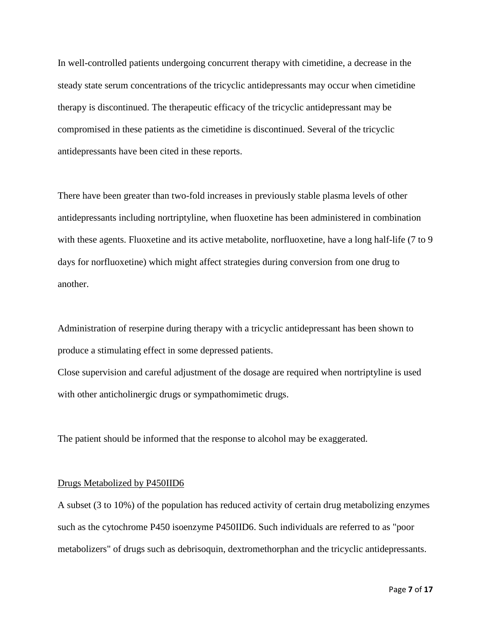In well-controlled patients undergoing concurrent therapy with cimetidine, a decrease in the steady state serum concentrations of the tricyclic antidepressants may occur when cimetidine therapy is discontinued. The therapeutic efficacy of the tricyclic antidepressant may be compromised in these patients as the cimetidine is discontinued. Several of the tricyclic antidepressants have been cited in these reports.

There have been greater than two-fold increases in previously stable plasma levels of other antidepressants including nortriptyline, when fluoxetine has been administered in combination with these agents. Fluoxetine and its active metabolite, norfluoxetine, have a long half-life (7 to 9 days for norfluoxetine) which might affect strategies during conversion from one drug to another.

Administration of reserpine during therapy with a tricyclic antidepressant has been shown to produce a stimulating effect in some depressed patients.

Close supervision and careful adjustment of the dosage are required when nortriptyline is used with other anticholinergic drugs or sympathomimetic drugs.

The patient should be informed that the response to alcohol may be exaggerated.

#### Drugs Metabolized by P450IID6

A subset (3 to 10%) of the population has reduced activity of certain drug metabolizing enzymes such as the cytochrome P450 isoenzyme P450IID6. Such individuals are referred to as "poor metabolizers" of drugs such as debrisoquin, dextromethorphan and the tricyclic antidepressants.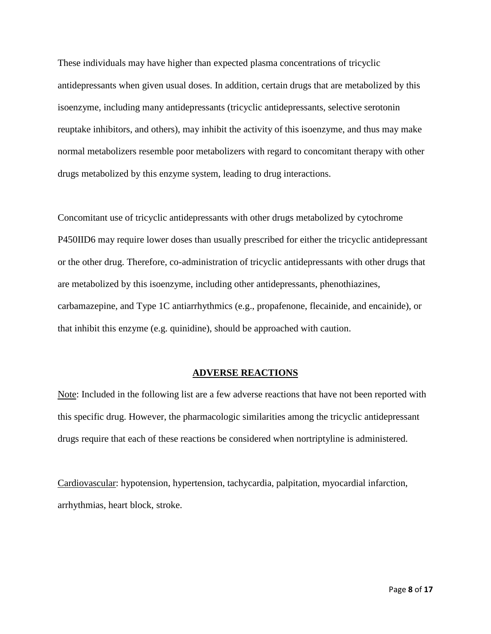These individuals may have higher than expected plasma concentrations of tricyclic antidepressants when given usual doses. In addition, certain drugs that are metabolized by this isoenzyme, including many antidepressants (tricyclic antidepressants, selective serotonin reuptake inhibitors, and others), may inhibit the activity of this isoenzyme, and thus may make normal metabolizers resemble poor metabolizers with regard to concomitant therapy with other drugs metabolized by this enzyme system, leading to drug interactions.

Concomitant use of tricyclic antidepressants with other drugs metabolized by cytochrome P450IID6 may require lower doses than usually prescribed for either the tricyclic antidepressant or the other drug. Therefore, co-administration of tricyclic antidepressants with other drugs that are metabolized by this isoenzyme, including other antidepressants, phenothiazines, carbamazepine, and Type 1C antiarrhythmics (e.g., propafenone, flecainide, and encainide), or that inhibit this enzyme (e.g. quinidine), should be approached with caution.

#### **ADVERSE REACTIONS**

Note: Included in the following list are a few adverse reactions that have not been reported with this specific drug. However, the pharmacologic similarities among the tricyclic antidepressant drugs require that each of these reactions be considered when nortriptyline is administered.

Cardiovascular: hypotension, hypertension, tachycardia, palpitation, myocardial infarction, arrhythmias, heart block, stroke.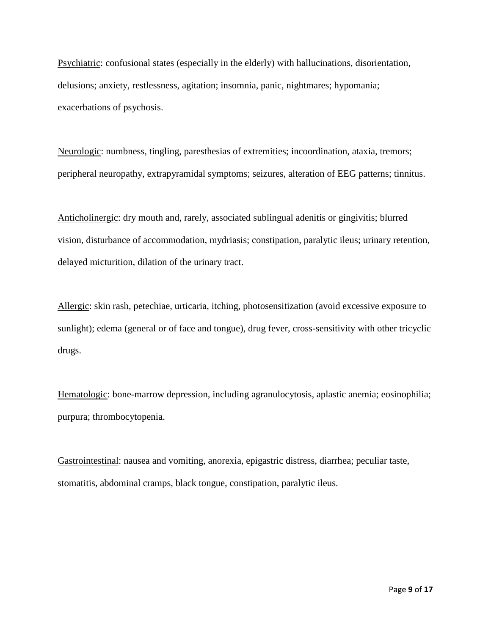Psychiatric: confusional states (especially in the elderly) with hallucinations, disorientation, delusions; anxiety, restlessness, agitation; insomnia, panic, nightmares; hypomania; exacerbations of psychosis.

Neurologic: numbness, tingling, paresthesias of extremities; incoordination, ataxia, tremors; peripheral neuropathy, extrapyramidal symptoms; seizures, alteration of EEG patterns; tinnitus.

Anticholinergic: dry mouth and, rarely, associated sublingual adenitis or gingivitis; blurred vision, disturbance of accommodation, mydriasis; constipation, paralytic ileus; urinary retention, delayed micturition, dilation of the urinary tract.

Allergic: skin rash, petechiae, urticaria, itching, photosensitization (avoid excessive exposure to sunlight); edema (general or of face and tongue), drug fever, cross-sensitivity with other tricyclic drugs.

Hematologic: bone-marrow depression, including agranulocytosis, aplastic anemia; eosinophilia; purpura; thrombocytopenia.

Gastrointestinal: nausea and vomiting, anorexia, epigastric distress, diarrhea; peculiar taste, stomatitis, abdominal cramps, black tongue, constipation, paralytic ileus.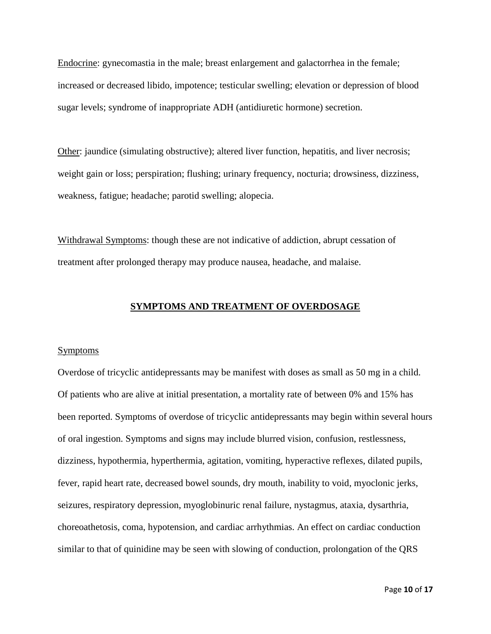Endocrine: gynecomastia in the male; breast enlargement and galactorrhea in the female; increased or decreased libido, impotence; testicular swelling; elevation or depression of blood sugar levels; syndrome of inappropriate ADH (antidiuretic hormone) secretion.

Other: jaundice (simulating obstructive); altered liver function, hepatitis, and liver necrosis; weight gain or loss; perspiration; flushing; urinary frequency, nocturia; drowsiness, dizziness, weakness, fatigue; headache; parotid swelling; alopecia.

Withdrawal Symptoms: though these are not indicative of addiction, abrupt cessation of treatment after prolonged therapy may produce nausea, headache, and malaise.

#### **SYMPTOMS AND TREATMENT OF OVERDOSAGE**

#### **Symptoms**

Overdose of tricyclic antidepressants may be manifest with doses as small as 50 mg in a child. Of patients who are alive at initial presentation, a mortality rate of between 0% and 15% has been reported. Symptoms of overdose of tricyclic antidepressants may begin within several hours of oral ingestion. Symptoms and signs may include blurred vision, confusion, restlessness, dizziness, hypothermia, hyperthermia, agitation, vomiting, hyperactive reflexes, dilated pupils, fever, rapid heart rate, decreased bowel sounds, dry mouth, inability to void, myoclonic jerks, seizures, respiratory depression, myoglobinuric renal failure, nystagmus, ataxia, dysarthria, choreoathetosis, coma, hypotension, and cardiac arrhythmias. An effect on cardiac conduction similar to that of quinidine may be seen with slowing of conduction, prolongation of the QRS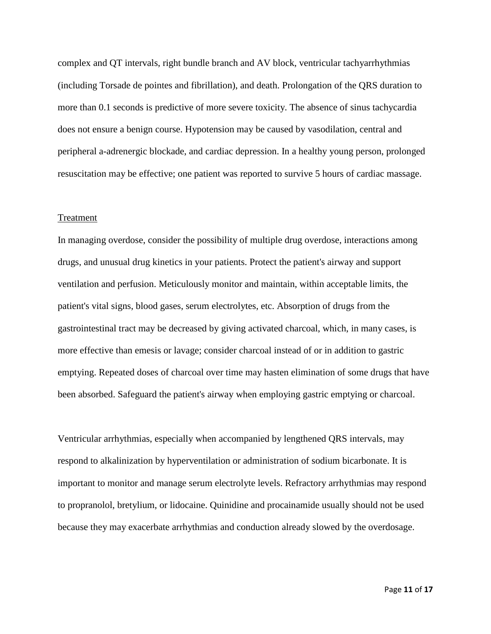complex and QT intervals, right bundle branch and AV block, ventricular tachyarrhythmias (including Torsade de pointes and fibrillation), and death. Prolongation of the QRS duration to more than 0.1 seconds is predictive of more severe toxicity. The absence of sinus tachycardia does not ensure a benign course. Hypotension may be caused by vasodilation, central and peripheral a-adrenergic blockade, and cardiac depression. In a healthy young person, prolonged resuscitation may be effective; one patient was reported to survive 5 hours of cardiac massage.

#### Treatment

In managing overdose, consider the possibility of multiple drug overdose, interactions among drugs, and unusual drug kinetics in your patients. Protect the patient's airway and support ventilation and perfusion. Meticulously monitor and maintain, within acceptable limits, the patient's vital signs, blood gases, serum electrolytes, etc. Absorption of drugs from the gastrointestinal tract may be decreased by giving activated charcoal, which, in many cases, is more effective than emesis or lavage; consider charcoal instead of or in addition to gastric emptying. Repeated doses of charcoal over time may hasten elimination of some drugs that have been absorbed. Safeguard the patient's airway when employing gastric emptying or charcoal.

Ventricular arrhythmias, especially when accompanied by lengthened QRS intervals, may respond to alkalinization by hyperventilation or administration of sodium bicarbonate. It is important to monitor and manage serum electrolyte levels. Refractory arrhythmias may respond to propranolol, bretylium, or lidocaine. Quinidine and procainamide usually should not be used because they may exacerbate arrhythmias and conduction already slowed by the overdosage.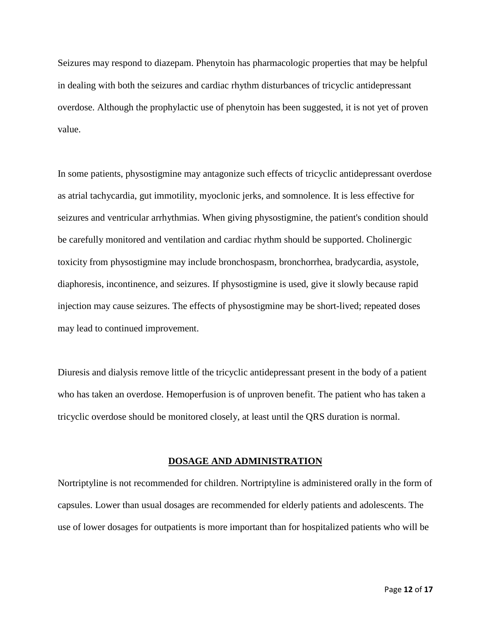Seizures may respond to diazepam. Phenytoin has pharmacologic properties that may be helpful in dealing with both the seizures and cardiac rhythm disturbances of tricyclic antidepressant overdose. Although the prophylactic use of phenytoin has been suggested, it is not yet of proven value.

In some patients, physostigmine may antagonize such effects of tricyclic antidepressant overdose as atrial tachycardia, gut immotility, myoclonic jerks, and somnolence. It is less effective for seizures and ventricular arrhythmias. When giving physostigmine, the patient's condition should be carefully monitored and ventilation and cardiac rhythm should be supported. Cholinergic toxicity from physostigmine may include bronchospasm, bronchorrhea, bradycardia, asystole, diaphoresis, incontinence, and seizures. If physostigmine is used, give it slowly because rapid injection may cause seizures. The effects of physostigmine may be short-lived; repeated doses may lead to continued improvement.

Diuresis and dialysis remove little of the tricyclic antidepressant present in the body of a patient who has taken an overdose. Hemoperfusion is of unproven benefit. The patient who has taken a tricyclic overdose should be monitored closely, at least until the QRS duration is normal.

#### **DOSAGE AND ADMINISTRATION**

Nortriptyline is not recommended for children. Nortriptyline is administered orally in the form of capsules. Lower than usual dosages are recommended for elderly patients and adolescents. The use of lower dosages for outpatients is more important than for hospitalized patients who will be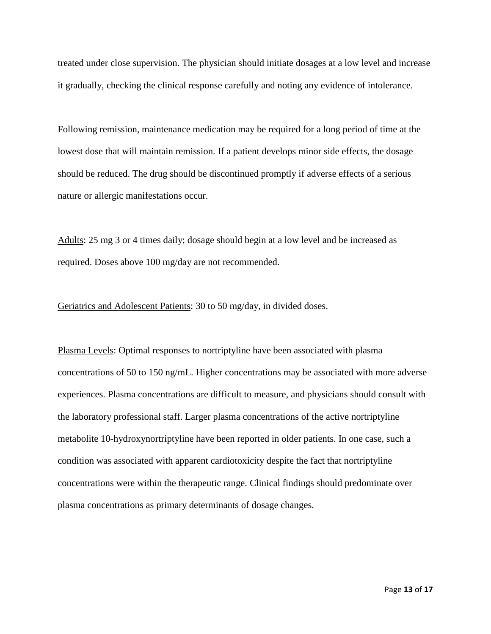treated under close supervision. The physician should initiate dosages at a low level and increase it gradually, checking the clinical response carefully and noting any evidence of intolerance.

Following remission, maintenance medication may be required for a long period of time at the lowest dose that will maintain remission. If a patient develops minor side effects, the dosage should be reduced. The drug should be discontinued promptly if adverse effects of a serious nature or allergic manifestations occur.

Adults: 25 mg 3 or 4 times daily; dosage should begin at a low level and be increased as required. Doses above 100 mg/day are not recommended.

Geriatrics and Adolescent Patients: 30 to 50 mg/day, in divided doses.

Plasma Levels: Optimal responses to nortriptyline have been associated with plasma concentrations of 50 to 150 ng/mL. Higher concentrations may be associated with more adverse experiences. Plasma concentrations are difficult to measure, and physicians should consult with the laboratory professional staff. Larger plasma concentrations of the active nortriptyline metabolite 10-hydroxynortriptyline have been reported in older patients. In one case, such a condition was associated with apparent cardiotoxicity despite the fact that nortriptyline concentrations were within the therapeutic range. Clinical findings should predominate over plasma concentrations as primary determinants of dosage changes.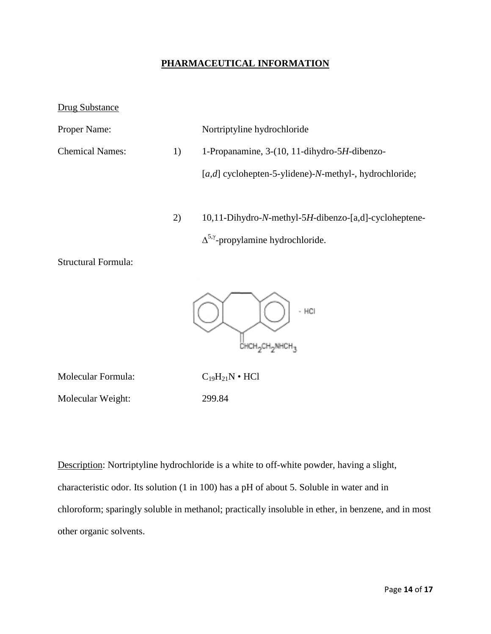### **PHARMACEUTICAL INFORMATION**

Drug Substance

| <b>Proper Name:</b>              |  | Nortriptyline hydrochloride                                |
|----------------------------------|--|------------------------------------------------------------|
| <b>Chemical Names:</b><br>$_{1}$ |  | 1-Propanamine, 3-(10, 11-dihydro-5H-dibenzo-               |
|                                  |  | [ $a,d$ ] cyclohepten-5-ylidene)-N-methyl-, hydrochloride; |
|                                  |  |                                                            |

2) 10,11-Dihydro-*N*-methyl-5*H*-dibenzo-[a,d]-cycloheptene-

 $\Delta^{5, \gamma}$ -propylamine hydrochloride.

Structural Formula:



Molecular Formula:  $C_{19}H_{21}N \cdot HCl$ Molecular Weight: 299.84

Description: Nortriptyline hydrochloride is a white to off-white powder, having a slight, characteristic odor. Its solution (1 in 100) has a pH of about 5. Soluble in water and in chloroform; sparingly soluble in methanol; practically insoluble in ether, in benzene, and in most other organic solvents.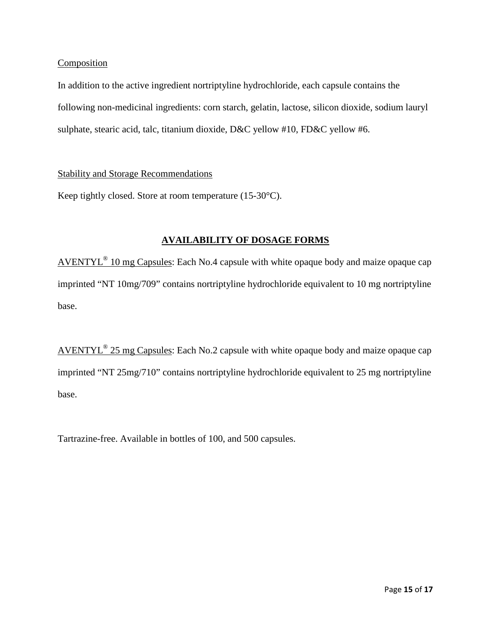#### Composition

In addition to the active ingredient nortriptyline hydrochloride, each capsule contains the following non-medicinal ingredients: corn starch, gelatin, lactose, silicon dioxide, sodium lauryl sulphate, stearic acid, talc, titanium dioxide, D&C yellow #10, FD&C yellow #6.

### Stability and Storage Recommendations

Keep tightly closed. Store at room temperature (15-30°C).

# **AVAILABILITY OF DOSAGE FORMS**

AVENTYL® 10 mg Capsules: Each No.4 capsule with white opaque body and maize opaque cap imprinted "NT 10mg/709" contains nortriptyline hydrochloride equivalent to 10 mg nortriptyline base.

AVENTYL® 25 mg Capsules: Each No.2 capsule with white opaque body and maize opaque cap imprinted "NT 25mg/710" contains nortriptyline hydrochloride equivalent to 25 mg nortriptyline base.

Tartrazine-free. Available in bottles of 100, and 500 capsules.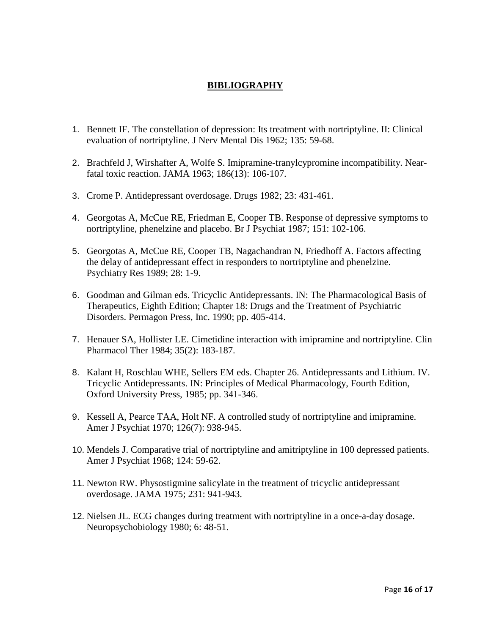# **BIBLIOGRAPHY**

- 1. Bennett IF. The constellation of depression: Its treatment with nortriptyline. II: Clinical evaluation of nortriptyline. J Nerv Mental Dis 1962; 135: 59-68.
- 2. Brachfeld J, Wirshafter A, Wolfe S. Imipramine-tranylcypromine incompatibility. Nearfatal toxic reaction. JAMA 1963; 186(13): 106-107.
- 3. Crome P. Antidepressant overdosage. Drugs 1982; 23: 431-461.
- 4. Georgotas A, McCue RE, Friedman E, Cooper TB. Response of depressive symptoms to nortriptyline, phenelzine and placebo. Br J Psychiat 1987; 151: 102-106.
- 5. Georgotas A, McCue RE, Cooper TB, Nagachandran N, Friedhoff A. Factors affecting the delay of antidepressant effect in responders to nortriptyline and phenelzine. Psychiatry Res 1989; 28: 1-9.
- 6. Goodman and Gilman eds. Tricyclic Antidepressants. IN: The Pharmacological Basis of Therapeutics, Eighth Edition; Chapter 18: Drugs and the Treatment of Psychiatric Disorders. Permagon Press, Inc. 1990; pp. 405-414.
- 7. Henauer SA, Hollister LE. Cimetidine interaction with imipramine and nortriptyline. Clin Pharmacol Ther 1984; 35(2): 183-187.
- 8. Kalant H, Roschlau WHE, Sellers EM eds. Chapter 26. Antidepressants and Lithium. IV. Tricyclic Antidepressants. IN: Principles of Medical Pharmacology, Fourth Edition, Oxford University Press, 1985; pp. 341-346.
- 9. Kessell A, Pearce TAA, Holt NF. A controlled study of nortriptyline and imipramine. Amer J Psychiat 1970; 126(7): 938-945.
- 10. Mendels J. Comparative trial of nortriptyline and amitriptyline in 100 depressed patients. Amer J Psychiat 1968; 124: 59-62.
- 11. Newton RW. Physostigmine salicylate in the treatment of tricyclic antidepressant overdosage. JAMA 1975; 231: 941-943.
- 12. Nielsen JL. ECG changes during treatment with nortriptyline in a once-a-day dosage. Neuropsychobiology 1980; 6: 48-51.